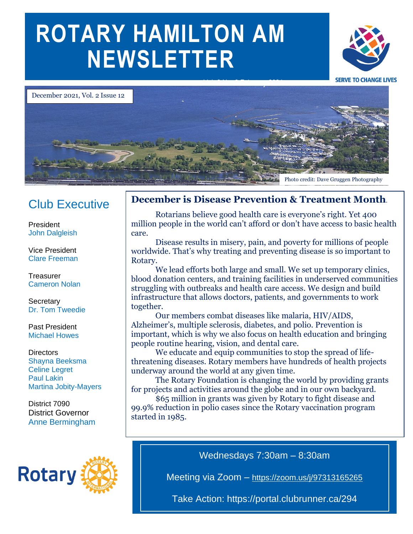# **ROTARY HAMILTON AM NEWSLETTER**





## Club Executive

President John Dalgleish

Vice President Clare Freeman

**Treasurer** Cameron Nolan

**Secretary** Dr. Tom Tweedie

#### Past President Michael Howes

**Directors** Shayna Beeksma Celine Legret Paul Lakin Martina Jobity-Mayers

District 7090 District Governor Anne Bermingham



## **December is Disease Prevention & Treatment Month**.

million people in the world can't afford or don't have access to basic health<br>care Rotarians believe good health care is everyone's right. Yet 400 care.

Disease results in misery, pain, and poverty for millions of people worldwide. That's why treating and preventing disease is so important to Rotary.

We lead efforts both large and small. We set up temporary clinics, blood donation centers, and training facilities in underserved communities struggling with outbreaks and health care access. We design and build infrastructure that allows doctors, patients, and governments to work together.

Our members combat diseases like malaria, HIV/AIDS, Alzheimer's, multiple sclerosis, diabetes, and polio. Prevention is important, which is why we also focus on health education and bringing people routine hearing, vision, and dental care.

We educate and equip communities to stop the spread of lifethreatening diseases. Rotary members have hundreds of health projects underway around the world at any given time.

The Rotary Foundation is changing the world by providing grants for projects and activities around the globe and in our own backyard.

\$65 million in grants was given by Rotary to fight disease and 99.9% reduction in polio cases since the Rotary vaccination program started in 1985.

Wednesdays 7:30am – 8:30am

Meeting via Zoom – <https://zoom.us/j/97313165265>

Take Action: https://portal.clubrunner.ca/294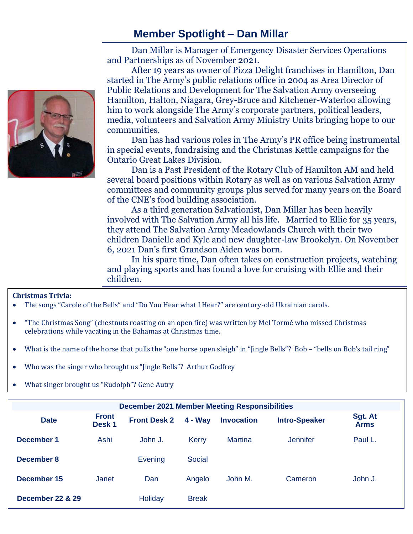## **Member Spotlight – Dan Millar**



Dan Millar is Manager of Emergency Disaster Services Operations and Partnerships as of November 2021.

After 19 years as owner of Pizza Delight franchises in Hamilton, Dan started in The Army's public relations office in 2004 as Area Director of Public Relations and Development for The Salvation Army overseeing Hamilton, Halton, Niagara, Grey-Bruce and Kitchener-Waterloo allowing him to work alongside The Army's corporate partners, political leaders, media, volunteers and Salvation Army Ministry Units bringing hope to our communities.

Dan has had various roles in The Army's PR office being instrumental in special events, fundraising and the Christmas Kettle campaigns for the Ontario Great Lakes Division.

Dan is a Past President of the Rotary Club of Hamilton AM and held several board positions within Rotary as well as on various Salvation Army committees and community groups plus served for many years on the Board of the CNE's food building association.

As a third generation Salvationist, Dan Millar has been heavily involved with The Salvation Army all his life. Married to Ellie for 35 years, they attend The Salvation Army Meadowlands Church with their two children Danielle and Kyle and new daughter-law Brookelyn. On November 6, 2021 Dan's first Grandson Aiden was born.

In his spare time, Dan often takes on construction projects, watching and playing sports and has found a love for cruising with Ellie and their children.

## **Christmas Trivia:**

- The songs "Carole of the Bells" and "Do You Hear what I Hear?" are century-old Ukrainian carols.
- "The Christmas Song" (chestnuts roasting on an open fire) was written by Mel Tormé who missed Christmas celebrations while vacating in the Bahamas at Christmas time.
- What is the name of the horse that pulls the "one horse open sleigh" in "Jingle Bells"? Bob "bells on Bob's tail ring"
- Who was the singer who brought us "Jingle Bells"? Arthur Godfrey
- What singer brought us "Rudolph"? Gene Autry

| <b>December 2021 Member Meeting Responsibilities</b> |                                   |                     |               |                   |                      |                        |
|------------------------------------------------------|-----------------------------------|---------------------|---------------|-------------------|----------------------|------------------------|
| <b>Date</b>                                          | <b>Front</b><br>Desk <sub>1</sub> | <b>Front Desk 2</b> | $4 - Wav$     | <b>Invocation</b> | <b>Intro-Speaker</b> | Sgt. At<br><b>Arms</b> |
| December 1                                           | Ashi                              | John J.             | <b>Kerry</b>  | <b>Martina</b>    | Jennifer             | Paul L.                |
| December 8                                           |                                   | Evening             | <b>Social</b> |                   |                      |                        |
| December 15                                          | Janet                             | Dan                 | Angelo        | John M.           | Cameron              | John J.                |
| <b>December 22 &amp; 29</b>                          |                                   | <b>Holiday</b>      | <b>Break</b>  |                   |                      |                        |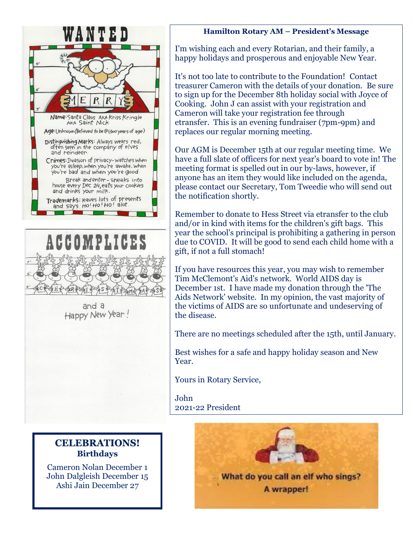



and a Happy New Year!

**CELEBRATIONS! Birthdays**

Cameron Nolan December 1 John Dalgleish December 15 Ashi Jain December 27

### **Hamilton Rotary AM – President's Message**

I'm wishing each and every Rotarian, and their family, a happy holidays and prosperous and enjoyable New Year.

It's not too late to contribute to the Foundation! Contact treasurer Cameron with the details of your donation. Be sure to sign up for the December 8th holiday social with Joyce of Cooking. John J can assist with your registration and Cameron will take your registration fee through etransfer. This is an evening fundraiser (7pm-9pm) and replaces our regular morning meeting.

meeting format is spelled out in our by-laws, however, if Our AGM is December 15th at our regular meeting time. We have a full slate of officers for next year's board to vote in! The anyone has an item they would like included on the agenda, please contact our Secretary, Tom Tweedie who will send out the notification shortly.

Remember to donate to Hess Street via etransfer to the club and/or in kind with items for the children's gift bags. This year the school's principal is prohibiting a gathering in person due to COVID. It will be good to send each child home with a gift, if not a full stomach!

If you have resources this year, you may wish to remember Tim McClemont's Aid's network. World AIDS day is December 1st. I have made my donation through the 'The Aids Network' website. In my opinion, the vast majority of the victims of AIDS are so unfortunate and undeserving of the disease.

There are no meetings scheduled after the 15th, until January.

Best wishes for a safe and happy holiday season and New Year.

Yours in Rotary Service,

John 2021-22 President

> What do you call an elf who sings? A wrapper!